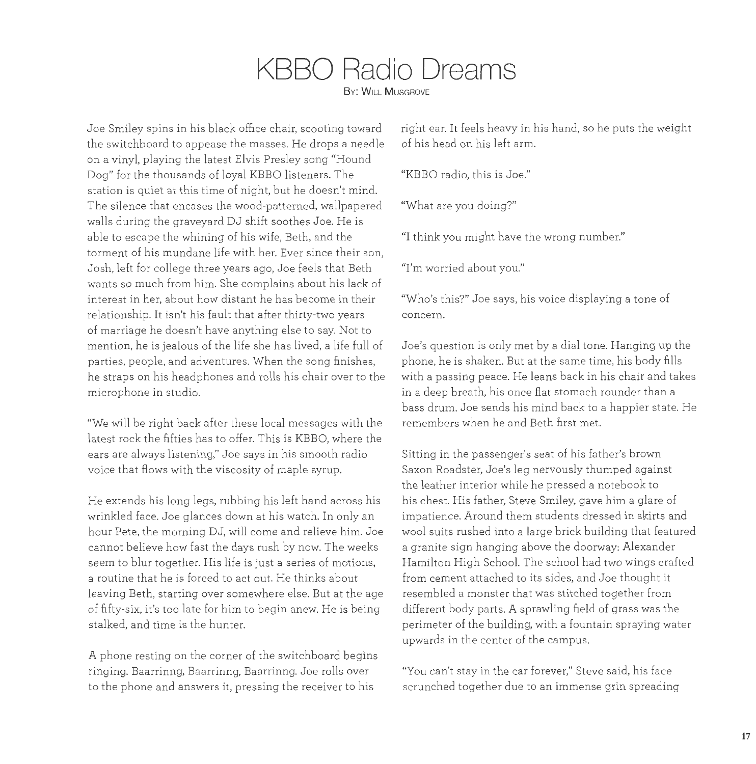## **KBBO Radio Dreams**

**By: WILL MUSGROVE** 

the switchboard to appease the masses. He drops a needle of his head on his left arm. on a vinyl, playing the latest Elvis Presley song "Hound Dog" for the thousands of loyal KBBO listeners. The "KBBO radio, this is Joe." station is quiet at this time of night, but he doesn't mind. The silence that encases the wood-patterned, wallpapered "What are you doing?" walls during the graveyard DJ shift soothes Joe. He is able to escape the whining of his wife, Beth, and the "I think you might have the wrong number." torment of his mundane life with her. Ever since their son, Josh, left for college three years ago, Joe feels that Beth "I'm worried about you." wants so much from him. She complains about his lack of interest in her, about how distant he has become in their relationship. It isn't his fault that after thirty-two years of marriage he doesn't have anything else to say. Not to mention, he is jealous of the life she has lived, a life full of parties, people, and adventures. When the song finishes, he straps on his headphones and rolls his chair over to the microphone in studio.

"We will be right back after these local messages with the latest rock the fifties has to offer. This is KBBO, where the ears are always listening," Joe says in his smooth radio voice that flows with the viscosity of maple syrup.

He extends his long legs, rubbing his left hand across his wrinkled face. Joe glances down at his watch. In only an hour Pete, the morning DJ, will come and relieve him. Joe cannot believe how fast the days rush by now. The weeks seem to blur together. His life is just a series of motions, a routine that he is forced to act out. He thinks about leaving Beth, starting over somewhere else. But at the age of fifty-six, it's too late for him to begin anew. He is being stalked, and time is the hunter.

A phone resting on the corner of the switchboard begins ringing. Baarrinng, Baarrinng, Baarrinng. Joe rolls over to the phone and answers it, pressing the receiver to his

Joe Smiley spins in his black office chair, scooting toward right ear. It feels heavy in his hand, so he puts the weight

"Who's this?" Joe says, his voice displaying a tone of concern.

Joe's question is only met by a dial tone. Hanging up the phone, he is shaken. But at the same time, his body fills with a passing peace. He leans back in his chair and takes in a deep breath, his once flat stomach rounder than a bass drum. Joe sends his mind back to a happier state. He remembers when he and Beth first met.

Sitting in the passenger's seat of his father's brown Saxon Roadster, Joe's leg nervously thumped against the leather interior while he pressed a notebook to his chest. His father, Steve Smiley, gave him a glare of impatience. Around them students dressed in skirts and wool suits rushed into a large brick building that featured a granite sign hanging above the doorway: Alexander Hamilton High School. The school had two wings crafted from cement attached to its sides, and Joe thought it resembled a monster that was stitched together from different body parts. A sprawling field of grass was the perimeter of the building, with a fountain spraying water upwards in the center of the campus.

"You can't stay in the car forever," Steve said, his face scrunched together due to an immense grin spreading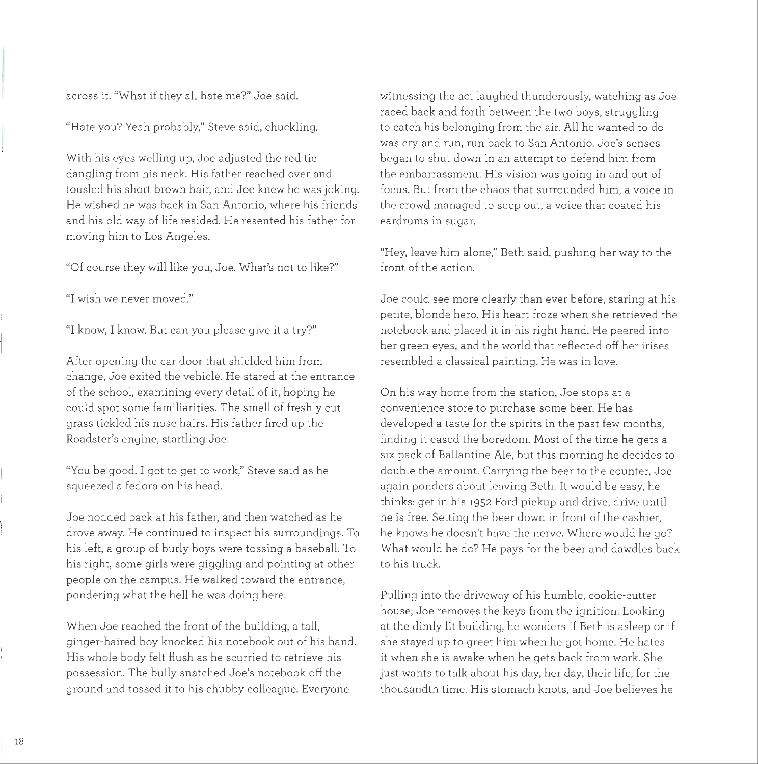across it. "What if they all hate me?" Joe said.

"Hate you? Yeah probably," Steve said, chuckling.

With his eyes welling up. Joe adjusted the red tie dangling from his neck. His father reached over and tousled his short brown hair, and Joe knew he was joking. He wished he was back in San Antonio, where his friends and his old way of life resided. He resented his father for moving him to Los Angeles.

"Of course they will like you, Joe. What's not to like?"

"I wish we never moved."

"I know, I know. But can you please give it a try?"

After opening the car door that shielded him from change, Joe exited the vehicle. He stared at the entrance of the school, examining every detail of it, hoping he could spot some familiarities. The smell of freshly cut grass tickled his nose hairs. His father fired up the Roadster's engine, startling Joe.

"You be good. I got to get to work," Steve said as he squeezed a fedora on his head.

Joe nodded back at his father, and then watched as he drove away. He continued to inspect his surroundings. To his left, a group of burly boys were tossing a baseball. To his right, some girls were giggling and pointing at other people on the campus. He walked toward the entrance, pondering what the hell he was doing here.

When Joe reached the front of the building, a tall, ginger-haired boy knocked his notebook out of his hand. His whole body felt flush as he scurried to retrieve his possession. The bully snatched Joe's notebook off the ground and tossed it to his chubby colleague. Everyone

witnessing the act laughed thunderously, watching as Joe raced back and forth between the two boys, struggling to catch his belonging from the air. All he wanted to do was cry and run, run back to San Antonio. Joe's senses began to shut down in an attempt to defend him from the embarrassment. His vision was going in and out of focus. But from the chaos that surrounded him, a voice in the crowd managed to seep out, a voice that coated his eardrums in sugar.

"Hey, leave him alone," Beth said, pushing her way to the front of the action.

Joe could see more clearly than ever before, staring at his petite, blonde hero. His heart froze when she retrieved the notebook and placed it in his right hand. He peered into her green eyes, and the world that reflected off her irises resembled a classical painting. He was in love.

On his way home from the station, Joe stops at a convenience store to purchase some beer. He has developed a taste for the spirits in the past few months, fmding it eased the boredom. Most of the time he gets a six pack of Ballantine Ale, but this morning he decides to double the amount. Carrying the beer to the counter, Joe again ponders about leaving Beth. It would be easy, he thinks: get in his 1952 Ford pickup and drive, drive until he is free. Setting the beer down in front of the cashier, he knows he doesn't have the nerve. Where would he go? What would he do? He pays for the beer and dawdles back to his truck.

Pulling into the driveway of his humble, cookie-cutter house, Joe removes the keys from the ignition. Looking at the dimly lit building, he wonders if Beth is asleep or if she stayed up to greet him when he got home. He hates it when she is awake when he gets back from work. She just wants to talk about his day, her day, their life, for the thousandth time. His stomach knots, and Joe believes he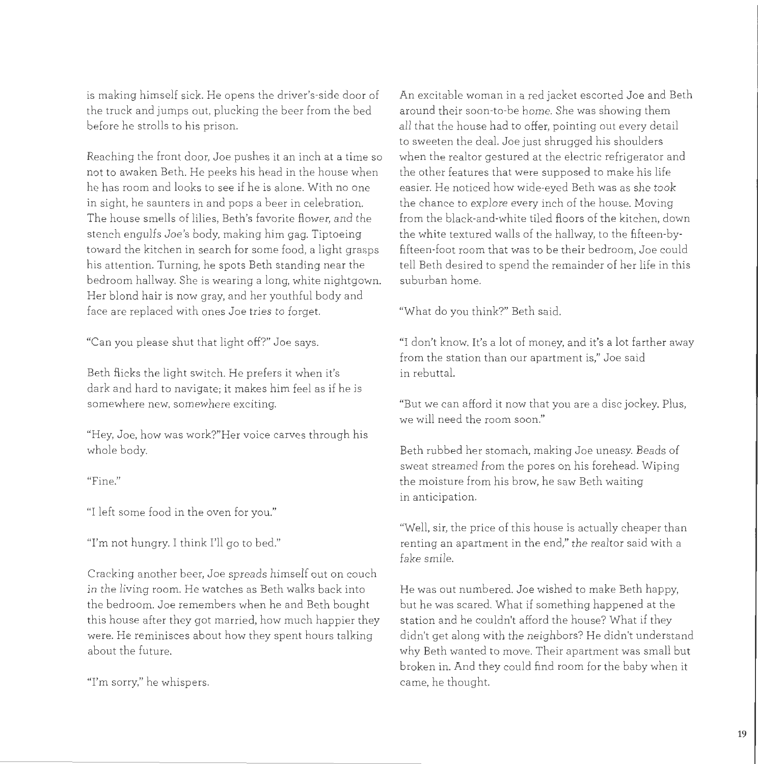is making himself sick. He opens the driver's-side door of the truck and jumps out, plucking the beer from the bed before he strolls to his prison.

Reaching the front door, Joe pushes it an inch at a time so not to awaken Beth. He peeks his head in the house when he has room and looks to see if he is alone. With no one in sight, he saunters in and pops a beer in celebration. The house smells of lilies, Beth's favorite flower, and the stench engulfs Joe's body, making him gag. Tiptoeing toward the kitchen in search for some food, a light grasps his attention. Turning, he spots Beth standing near the bedroom hallway. She is wearing a long, white nightgown. Her blond hair is now gray, and her youthful body and face are replaced with ones Joe tries to forget.

"Can you please shut that light off?" Joe says.

Beth flicks the light switch. He prefers it when it's dark and hard to navigate; it makes him feel as if he is somewhere new, somewhere exciting.

"Hey, Joe, how was work?"Her voice carves through his whole body.

"Fine."

"I left some food in the oven for you."

'Tm not hungry. I think I'll go to bed."

Cracking another beer, Joe spreads himself out on couch in the living room. He watches as Beth walks back into the bedroom. Joe remembers when he and Beth bought this house after they got married, how much happier they were. He reminisces about how they spent hours talking about the future.

'Tm sorry," he whispers.

An excitable woman in a red jacket escorted Joe and Beth around their soon-to-be home. She was showing them all that the house had to offer, pointing out every detail to sweeten the deal. Joe just shrugged his shoulders when the realtor gestured at the electric refrigerator and the other features that were supposed to make his life easier. He noticed how wide-eyed Beth was as she took the chance to explore every inch of the house. Moving from the black-and-white tiled floors of the kitchen, down the white textured walls of the hallway, to the fifteen-byfifteen-foot room that was to be their bedroom, Joe could tell Beth desired to spend the remainder of her life in this suburban home.

"What do you think?" Beth said.

"I don't know. It's a lot of money, and it's a lot farther away from the station than our apartment is," Joe said in rebuttal.

"But we can afford it now that you are a disc jockey. Plus, we will need the room soon."

Beth rubbed her stomach, making Joe uneasy. Beads of sweat streamed from the pores on his forehead. Wiping the moisture from his brow, he saw Beth waiting in anticipation.

"Well, sir, the price of this house is actually cheaper than renting an apartment in the end," the realtor said with a fake smile.

He was out numbered. Joe wished to make Beth happy, but he was scared. What if something happened at the station and he couldn't afford the house? What if they didn't get along with the neighbors? He didn't understand why Beth wanted to move. Their apartment was small but broken in. And they could find room for the baby when it came, he thought.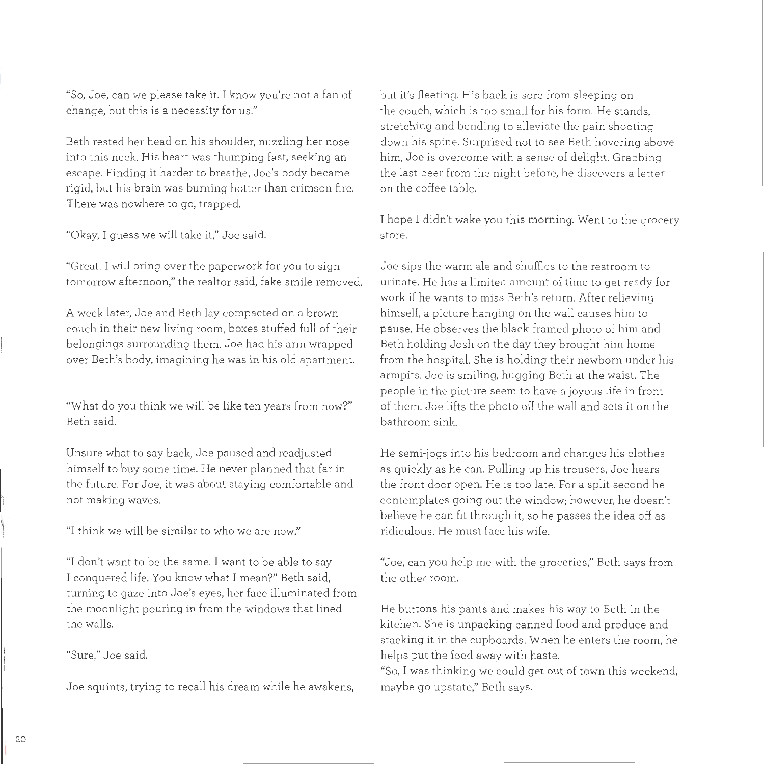"So, Joe, can we please take it. I know you're not a fan of change, but this is a necessity for us."

Beth rested her head on his shoulder, nuzzling her nose into this neck. His heart was thumping fast, seeking an escape. Finding it harder to breathe, Joe's body became rigid, but his brain was burning hotter than crimson fire. There was nowhere to go, trapped.

"Okay, I guess we will take it," Joe said. store.

"Great. I will bring over the paperwork for you to sign Joe sips the warm ale and shuffles to the restroom to tomorrow afternoon," the realtor said, fake smile removed. urinate. He has a limited amount of time to get ready for

A week later, Joe and Beth lay compacted on a brown himself, a picture hanging on the wall causes him to couch in their new living room, boxes stuffed full of their pause. He observes the black-framed photo of him and belongings surrounding them. Joe had his arm wrapped Beth holding Josh on the day they brought him home

"What do you think we will be like ten years from now?" Beth said.

Unsure what to say back, Joe paused and readjusted himself to buy some time. He never planned that far in the future function of  $\epsilon$  and  $\epsilon$  and  $\epsilon$  and  $\epsilon$  and  $\epsilon$  and  $\epsilon$  and  $\epsilon$  and  $\epsilon$  and  $\epsilon$  and  $\epsilon$  and  $\epsilon$  and  $\epsilon$  and  $\epsilon$  and  $\epsilon$  and  $\epsilon$  and  $\epsilon$  and  $\epsilon$  and  $\epsilon$  and  $\epsilon$  and  $\epsilon$  and  $\epsilon$  and  $\epsilon$  and  $m$ e nuture. For over,

"I think we will be similar to who we are now."

"I don't want to be the same. I want to be able to say I don't want to be the same. I want to be able to say I conquered life. You know what I mean?" Beth said. turning to gaze into Joe's eyes, her face illuminated from the moonlight pouring in from the windows that lined<br>the walls.

but it's fleeting. His back is sore from sleeping on the couch, which is too small for his form. He stands, stretching and bending to alleviate the pain shooting down his spine. Surprised not to see Beth hovering above him, Joe is overcome with a sense of delight. Grabbing the last beer from the night before, he discovers a letter on the coffee table.

I hope I didn't wake you this morning. Went to the grocery

work if he wants to miss Beth's return. After relieving over Beth's body, imagining he was in his old apartment. from the hospital. She is holding their newborn under his armpits. Joe is smiling, hugging Beth at the waist. The people in the picture seem to have a joyous life in front of them. Joe lifts the photo off the wall and sets it on the bathroom sink.

> He semi-jogs into his bedroom and changes his clothes as quickly as he can. Pulling up his trousers, Joe hears  $t_{\text{tot}}$  as the call  $t_{\text{tot}}$  open. For a split second he is too split second he split second here. che front door open. He is too late, for a spilt second if contemplates going out the window; however, he doesn't<br>believe he can fit through it, so he passes the idea off as ridiculous. He must face his wife.

> "Joe, can you help me with the groceries," Beth says from uoe, can you .

He buttons his pants and makes his way to Beth in the kitchen. She is unpacking canned food and produce and stacking it in the cupboards. When he enters the room, he helps put the food away with haste.

"So, I was thinking we could get out of town this weekend, maybe go upstate," Beth says.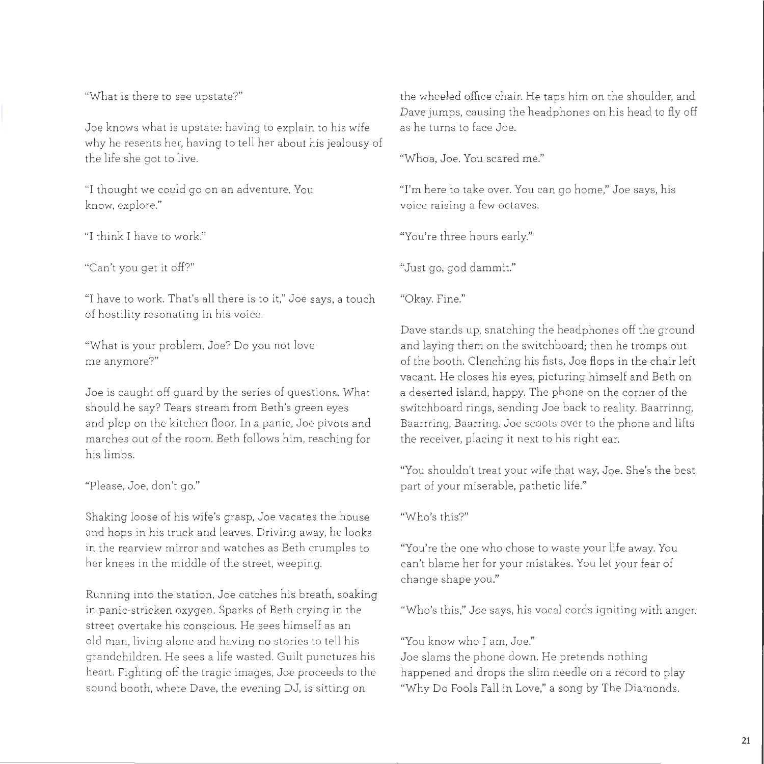Joe knows what is upstate: having to explain to his wife as he turns to face Joe. why he resents her, having to tell her about his jealousy of the life she got to live. "Whoa, Joe. You scared me."

know, explore." voice raising a few octaves.

"I have to work. That's all there is to it," Joe says, a touch "Okay. Fine." of hostility resonating in his voice.

"What is your problem, Joe? Do you not love me anymore?"

Joe is caught off guard by the series of questions. What should he say? Tears stream from Beth's green eyes and plop on the kitchen floor. In a panic, Joe pivots and marches out of the room. Beth follows him, reaching for his limbs.

"Please, Joe, don't go."

Shaking loose of his wife's grasp, Joe vacates the house and hops in his truck and leaves. Driving away, he looks in the rearview mirror and watches as Beth crumples to her knees in the middle of the street, weeping.

Running into the station, Joe catches his breath, soaking in panic-stricken oxygen. Sparks of Beth crying in the street overtake his conscious. He sees himself as an old man, living alone and having no stories to tell his grandchildren. He sees a life wasted. Guilt punctures his heart. Fighting off the tragic images, Joe proceeds to the sound booth, where Dave, the evening DJ, is sitting on

"What is the re to see upstate?" the wheeled office chair. He taps him on the shoulder, and Dave jumps, causing the headphones on his head to fly off

"I thought we could go on an adventure. You '' ''m here to take over. You can go home," Joe says, his

"I think I have to wo rk." "You're three hours early."

"Can't you get it off?" "Just go, god dammit."

Dave stands up, snatching the headphones off the ground and laying them on the switchboard; then he tromps out of the booth. Clenching his fists, Joe flops in the chair left vacant. He closes his eyes, picturing himself and Beth on a deserted island, happy. The phone on the corner of the switchboard rings, sending Joe back to reality. Baarrinng, Baarrring, Baarring. Joe scoots over to the phone and lifts the receiver, placing it next to his right ear.

"You shouldn't treat your wife that way, Joe. She's the best part of your miserable, pathetic life."

"Who's this?"

"You're the one who chose to waste your life away. You can't blame her for your mistakes. You let your fear of change shape you."

"Who's this," Joe says, his vocal cords igniting with anger.

"You know who I am, Joe."

Joe slams the phone down. He pretends nothing happened and drops the slim needle on a record to play "Why Do Fools Fall in Love," a song by The Diamonds.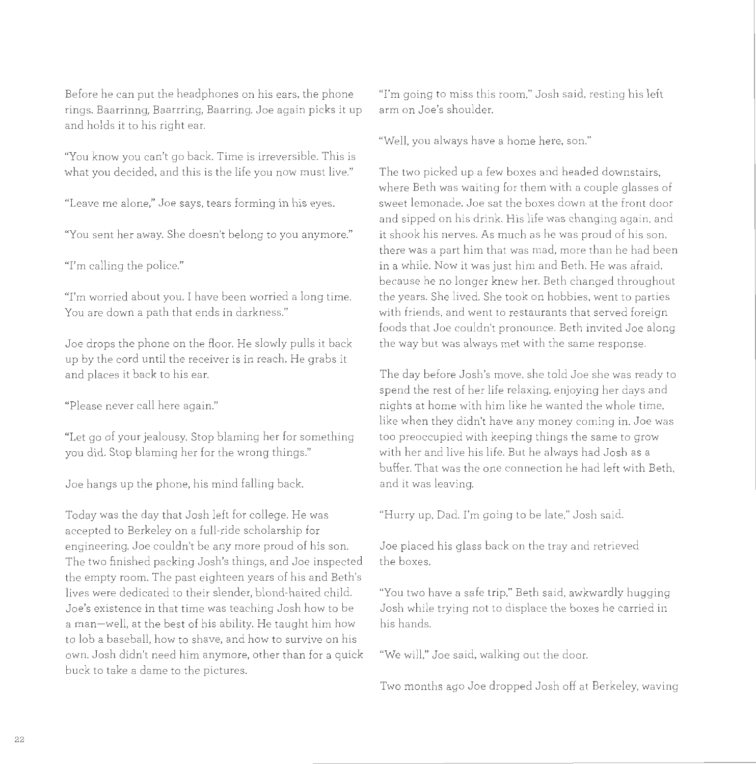Before he can put the headphones on his ears, the phone rings. Baarrinng, Baarrring, Baarring. Joe again picks it up and holds it to his right ear.

"You know you can't go back. Time is irreversible. This is what you decided, and this is the life you now must live."

"Leave me alone," Joe says, tears forming in his eyes.

"You sent her away. She doesn't belong to you anymore."

"I'm calling the police."

"I'm worried about you. I have been worried a long time. You are down a path that ends in darkness."

Joe drops the phone on the floor. He slowly pulls it back up by the cord until the receiver is in reach. He grabs it and places it back to his ear.

"Please never call here again."

"Let go of your jealousy. Stop blaming her for something you did. Stop blaming her for the wrong things."

Joe hangs up the phone, his mind falling back.

Today was the day that Josh left for college. He was accepted to Berkeley on a full-ride scholarship for engineering. Joe couldn't be any more proud of his son. The two finished packing Josh's things, and Joe inspected the empty room. The past eighteen years of his and Beth's lives were dedicated to their slender, blond-haired child. Joe's existence in that time was teaching Josh how to be a man- well, at the best of his ability. He taught him how to lob a baseball, how to shave, and how to survive on his own. Josh didn't need him anymore, other than for a quick "We will," Joe said, walking out the door. buck to take a dame to the pictures.

"I'm going to miss this room," Josh said, resting his left arm on Joe's shoulder.

"Well, you always have a home here, son."

The two picked up a few boxes and headed downstairs, where Beth was waiting for them with a couple glasses of sweet lemonade. Joe sat the boxes down at the front door and sipped on his drink. His life was changing again, and it shook his nerves. As much as he was proud of his son, there was a part him that was mad, more than he had been in a while. Now it was just him and Beth. He was afraid, because he no longer knew her. Beth changed throughout the years. She lived. She took on hobbies, went to parties with friends, and went to restaurants that served foreign foods that Joe couldn't pronounce. Beth invited Joe along the way but was always met with the same response.

The day before Josh's move, she told Joe she was ready to spend the rest of her life relaxing, enjoying her days and nights at home with him like he wanted the whole time, like when they didn't have any money coming in. Joe was too preoccupied with keeping things the same to grow with her and live his life. But he always had Josh as a buffer. That was the one connection he had left with Beth, and it was leaving.

"Hurry up, Dad. I'm going to be late," Josh said.

Joe placed his glass back on the tray and retrieved the boxes.

"You two have a safe trip," Beth said, awkwardly hugging Josh while trying not to displace the boxes he carried in his hands.

Two months ago Joe dropped Josh off at Berkeley, waving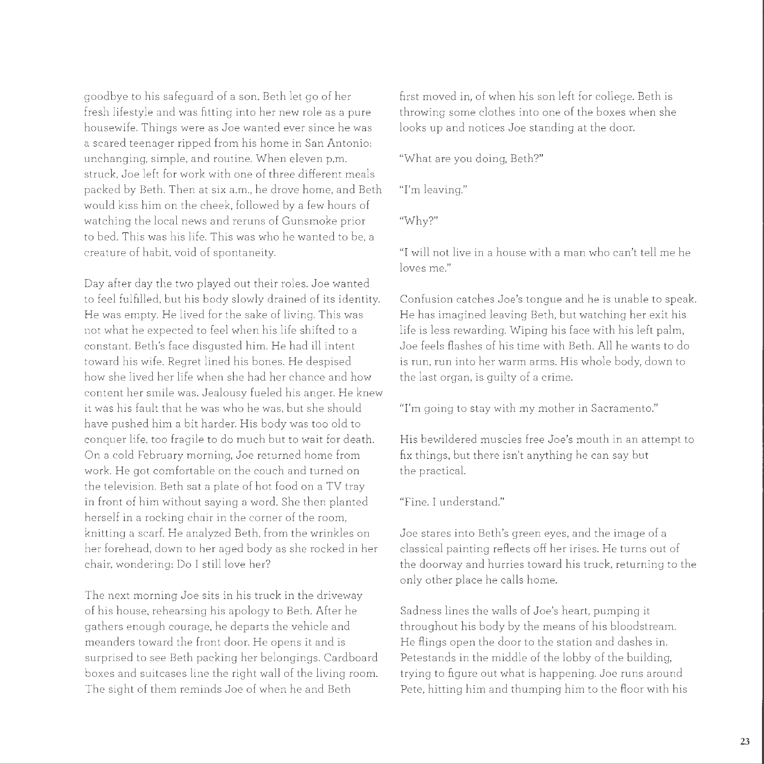goodbye to his safeguard of a son. Beth let go of her fust moved in, of when his son left for college. Beth is fresh lifestyle and was fitting into her new role as a pure throwing some clothes into one of the boxes when she housewife. Things were as Joe wanted ever since he was looks up and notices Joe standing at the door. a scared teenager ripped from his home in San Antonio: unchanging, simple, and routine. When eleven p.m. "What are you doing, Beth?" struck, Joe left for work with one of three different meals packed by Beth. Then at six a.m., he drove home, and Beth "I'm leaving." would kiss him on the cheek, followed by a few hours of watching the local news and reruns of Gunsmoke prior "Why?" to bed. This was his life. This was who he wanted to be, a creature of habit, void of spontaneity. "I will not live in a house with a man who can't tell me he

Day after day the two played out their roles. Joe wanted to feel fulfilled, but his body slowly drained of its identity. He was empty. He lived for the sake of living. This was not what he expected to feel when his life shifted to a constant. Beth's face disgusted him. He had ill intent toward his wife. Regret lined his bones. He despised how she lived her life when she had her chance and how content her smile was. Jealousy fueled his anger. He knew it was his fault that he was who he was, but she should have pushed him a bit harder. His body was too old to conquer life, too fragile to do much but to wait for death. On a cold February morning, Joe returned home from work. He got comfortable on the couch and turned on the television. Beth sat a plate of hot food on a TV tray in front of him without saying a word. She then planted herself in a rocking chair in the corner of the room, knitting a scarf. He analyzed Beth, from the wrinkles on her fo rehead, down to her aged body as she rocked in her cha ir, wondering: Do I still love her?

The next morning Joe sits in his truck in the driveway of his house, rehearsing his apology to Beth. After he gathers enough courage, he departs the vehicle and meanders toward the front door. He opens it and is surprised to see Beth packing her belongings. Cardboard boxes and suitcases line the right wall of the living room. The sight of them reminds Joe of when he and Beth

loves me."

Confusion catches Joe's tongue and he is unable to speak. He has imagined leaving Beth, but watching her exit his life is less rewarding. Wiping his face with his left palm, Joe feels flashes of his time with Beth. All he wants to do is run, run into her warm arms. His whole body, down to the last organ, is guilty of a crime.

'Tm going to stay with my mother in Sacramento."

His bewildered muscles free Joe's mouth in an attempt to fix things, but there isn't anything he can say but the practical.

"Fine. I understand."

Joe stares into Beth's green eyes, and the image of a classical painting reflects off her irises. He turns out of the doorway and hurries toward his truck, returning to the only other place he calls home.

Sadness lines the walls of Joe's heart, pumping it throughout his body by the means of his bloodstream. He flings open the door to the station and dashes in. Petestands in the middle of the lobby of the building, trying to figure out what is happening. Joe runs around Pete, hitting him and thumping him to the floor with his